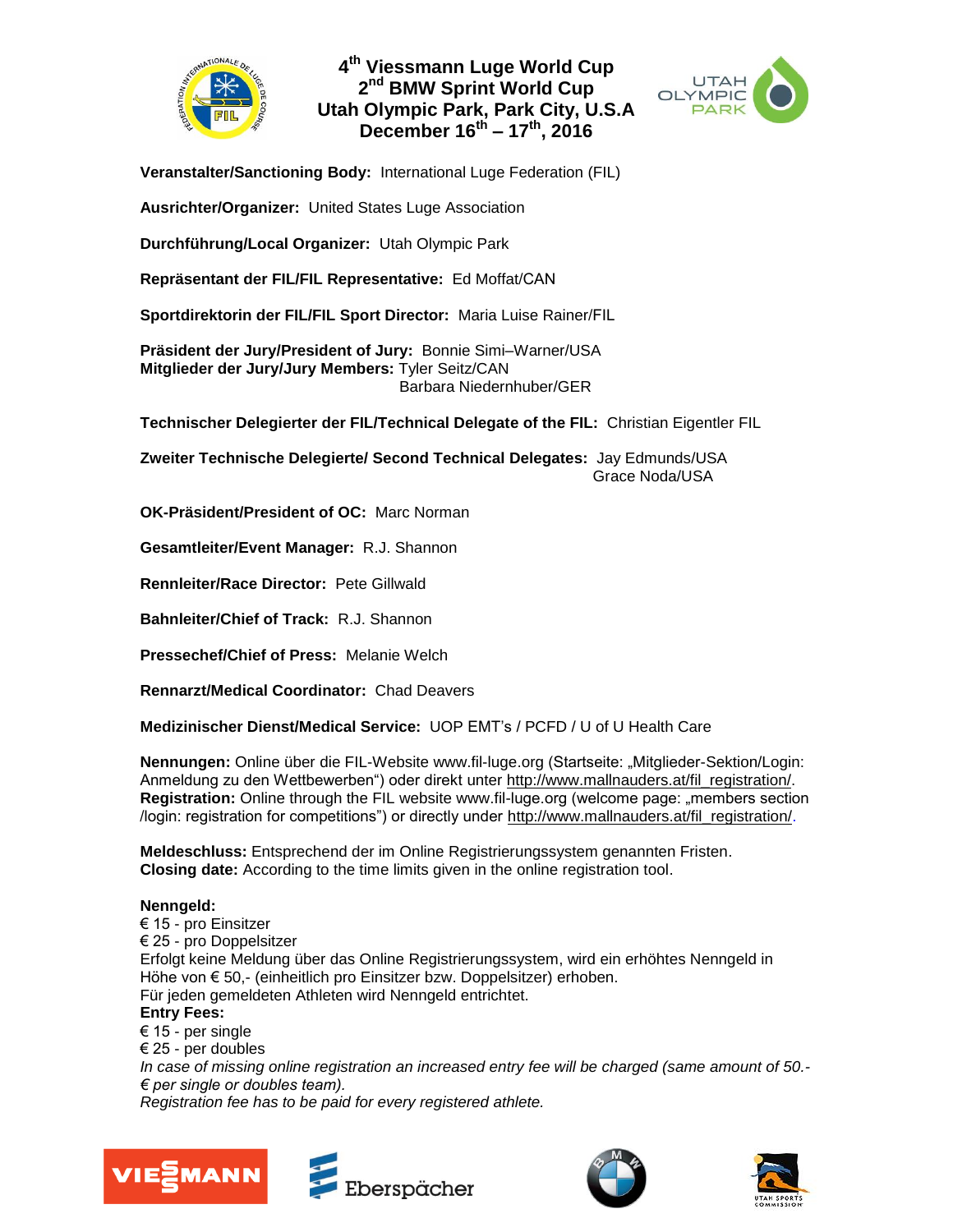

# **4 th Viessmann Luge World Cup 2 nd BMW Sprint World Cup Utah Olympic Park, Park City, U.S.A December 16th – 17th, 2016**



**Veranstalter/Sanctioning Body:** International Luge Federation (FIL)

**Ausrichter/Organizer:** United States Luge Association

**Durchführung/Local Organizer:** Utah Olympic Park

**Repräsentant der FIL/FIL Representative:** Ed Moffat/CAN

**Sportdirektorin der FIL/FIL Sport Director:** Maria Luise Rainer/FIL

**Präsident der Jury/President of Jury:** Bonnie Simi–Warner/USA **Mitglieder der Jury/Jury Members:** Tyler Seitz/CAN Barbara Niedernhuber/GER

**Technischer Delegierter der FIL/Technical Delegate of the FIL:** Christian Eigentler FIL

**Zweiter Technische Delegierte/ Second Technical Delegates:** Jay Edmunds/USA Grace Noda/USA

**OK-Präsident/President of OC:** Marc Norman

**Gesamtleiter/Event Manager:** R.J. Shannon

**Rennleiter/Race Director:** Pete Gillwald

**Bahnleiter/Chief of Track:** R.J. Shannon

**Pressechef/Chief of Press:** Melanie Welch

**Rennarzt/Medical Coordinator:** Chad Deavers

**Medizinischer Dienst/Medical Service:** UOP EMT's / PCFD / U of U Health Care

**Nennungen:** Online über die FIL-Website www.fil-luge.org (Startseite: "Mitglieder-Sektion/Login: Anmeldung zu den Wettbewerben") oder direkt unter [http://www.malln](http://www.mall/)auders.at/fil\_registration/. **Registration:** Online through the FIL website www.fil-luge.org (welcome page: "members section /login: registration for competitions") or directly under [http://www.malln](http://www.mall/)auders.at/fil\_registration/.

**Meldeschluss:** Entsprechend der im Online Registrierungssystem genannten Fristen. **Closing date:** According to the time limits given in the online registration tool.

### **Nenngeld:**

€ 15 - pro Einsitzer € 25 - pro Doppelsitzer Erfolgt keine Meldung über das Online Registrierungssystem, wird ein erhöhtes Nenngeld in Höhe von € 50,- (einheitlich pro Einsitzer bzw. Doppelsitzer) erhoben. Für jeden gemeldeten Athleten wird Nenngeld entrichtet. **Entry Fees:**  € 15 - per single € 25 - per doubles *In case of missing online registration an increased entry fee will be charged (same amount of 50.-* 

*€ per single or doubles team).* 

*Registration fee has to be paid for every registered athlete.* 







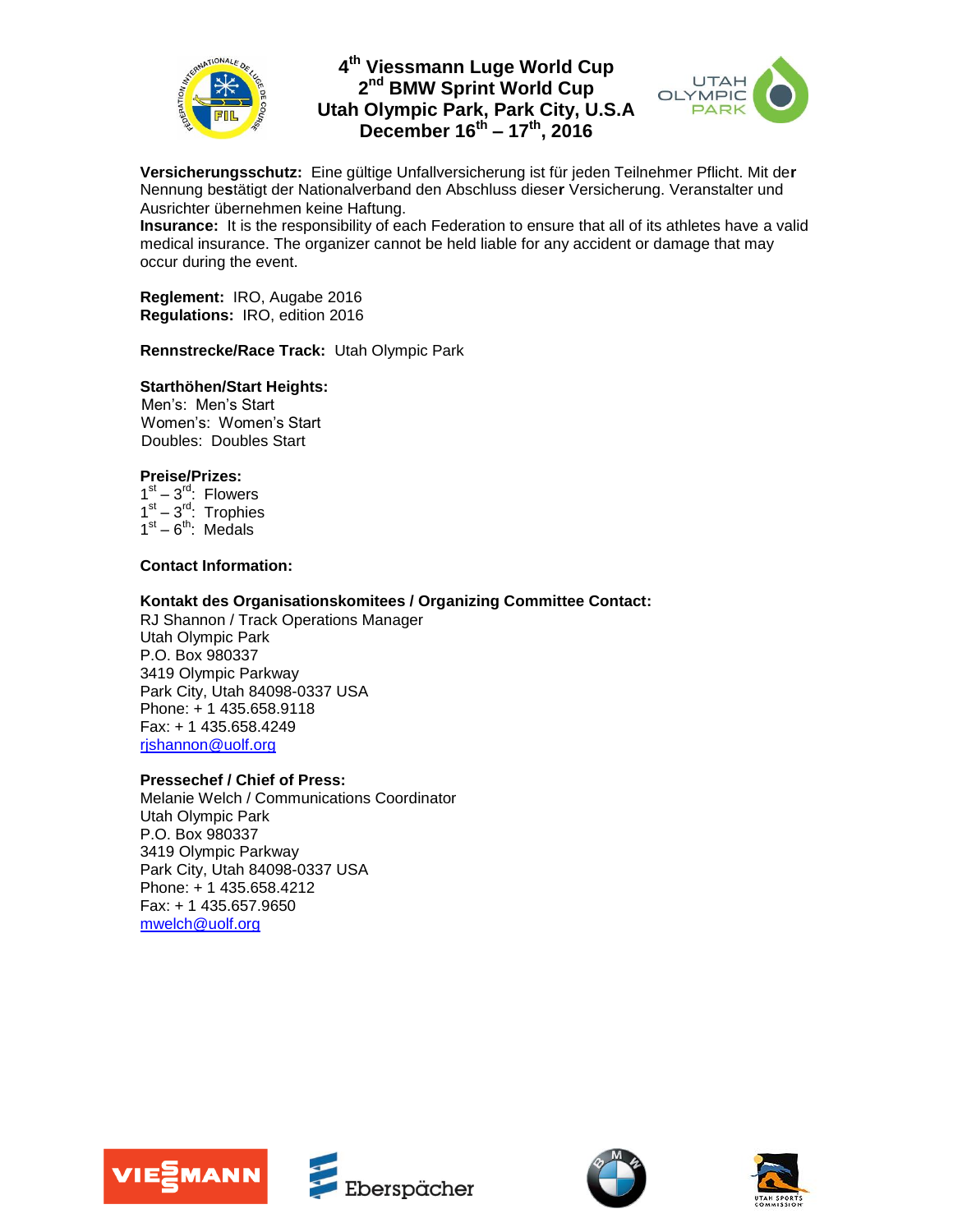

# **4 th Viessmann Luge World Cup 2 nd BMW Sprint World Cup Utah Olympic Park, Park City, U.S.A December 16 th – 17 th, 2016**



**Versicherungsschutz:** Eine gültige Unfallversicherung ist für jeden Teilnehmer Pflicht. Mit de**r** Nennung be**s**tätigt der Nationalverband den Abschluss diese**r** Versicherung. Veranstalter und Ausrichter übernehmen keine Haftung.

**Insurance:** It is the responsibility of each Federation to ensure that all of its athletes have a valid medical insurance. The organizer cannot be held liable for any accident or damage that may occur during the event.

**Reglement:** IRO, Augabe 2016 **Regulations:** IRO, edition 2016

**Rennstrecke/Race Track:** Utah Olympic Park

## **Starthöhen/Start Heights:**

 Men's: Men's Start Women's: Women's Start Doubles: Doubles Start

### **Preise/Prizes:**

 $1<sup>st</sup> - 3<sup>rd</sup>$ : Flowers  $1<sup>st</sup> - 3<sup>rd</sup>$ : Trophies  $1<sup>st</sup> - 6<sup>th</sup>$ : Medals

### **Contact Information:**

### **Kontakt des Organisationskomitees / Organizing Committee Contact:**

RJ Shannon / Track Operations Manager Utah Olympic Park P.O. Box 980337 3419 Olympic Parkway Park City, Utah 84098-0337 USA Phone: + 1 435.658.9118 Fax: + 1 435.658.4249 [rjshannon@uolf.org](mailto:rjshannon@uolf.org)

### **Pressechef / Chief of Press:**

Melanie Welch / Communications Coordinator Utah Olympic Park P.O. Box 980337 3419 Olympic Parkway Park City, Utah 84098-0337 USA Phone: + 1 435.658.4212 Fax: + 1 435.657.9650 [mwelch@uolf.org](mailto:mwelch@uolf.org)







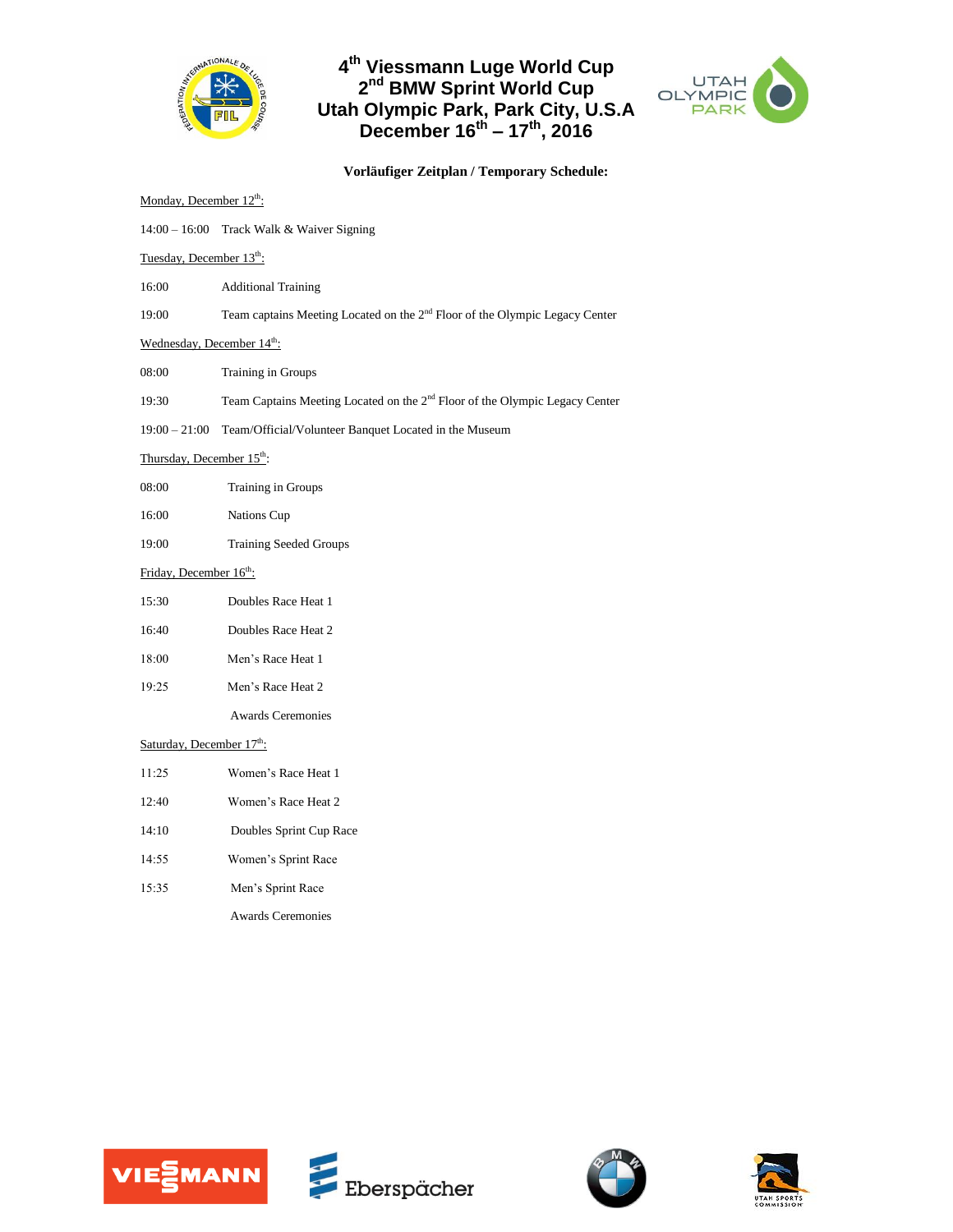

# **4 th Viessmann Luge World Cup 2 nd BMW Sprint World Cup Utah Olympic Park, Park City, U.S.A December 16 th – 17 th, 2016**



**Vorläufiger Zeitplan / Temporary Schedule:**

| Monday, December 12th:                |                                                                                         |
|---------------------------------------|-----------------------------------------------------------------------------------------|
|                                       | 14:00 - 16:00 Track Walk & Waiver Signing                                               |
| Tuesday, December 13 <sup>th</sup> :  |                                                                                         |
| 16:00                                 | <b>Additional Training</b>                                                              |
| 19:00                                 | Team captains Meeting Located on the 2 <sup>nd</sup> Floor of the Olympic Legacy Center |
| Wednesday, December 14th:             |                                                                                         |
| 08:00                                 | Training in Groups                                                                      |
| 19:30                                 | Team Captains Meeting Located on the 2 <sup>nd</sup> Floor of the Olympic Legacy Center |
| $19:00 - 21:00$                       | Team/Official/Volunteer Banquet Located in the Museum                                   |
| Thursday, December 15 <sup>th</sup> : |                                                                                         |
| 08:00                                 | Training in Groups                                                                      |
| 16:00                                 | Nations Cup                                                                             |
| 19:00                                 | <b>Training Seeded Groups</b>                                                           |
| Friday, December 16th:                |                                                                                         |
| 15:30                                 | Doubles Race Heat 1                                                                     |
| 16:40                                 | Doubles Race Heat 2                                                                     |
| 18:00                                 | Men's Race Heat 1                                                                       |
| 19:25                                 | Men's Race Heat 2                                                                       |
|                                       | <b>Awards Ceremonies</b>                                                                |
| Saturday, December $17^{\text{th}}$ : |                                                                                         |
| 11:25                                 | Women's Race Heat 1                                                                     |
| 12:40                                 | Women's Race Heat 2                                                                     |
| 14:10                                 | Doubles Sprint Cup Race                                                                 |
| 14:55                                 | Women's Sprint Race                                                                     |
| 15:35                                 | Men's Sprint Race                                                                       |
|                                       | <b>Awards Ceremonies</b>                                                                |
|                                       |                                                                                         |